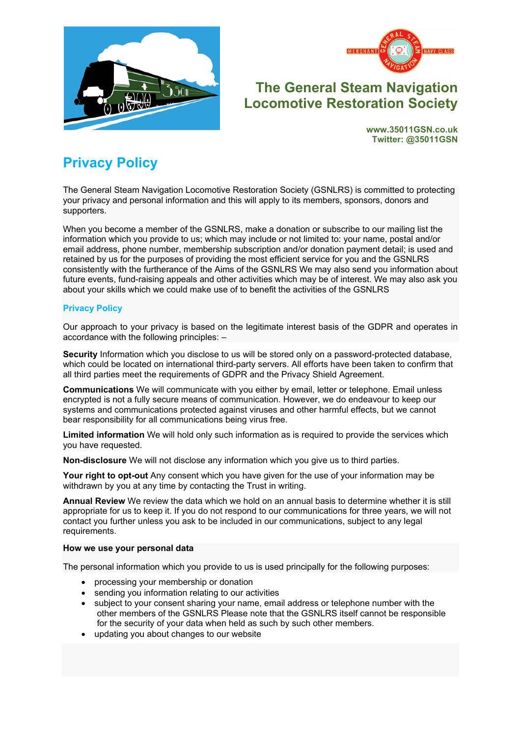



# **The General Steam Navigation Locomotive Restoration Society**

**www.35011GSN.co.uk Twitter: @35011GSN**

# **Privacy Policy**

The General Steam Navigation Locomotive Restoration Society (GSNLRS) is committed to protecting your privacy and personal information and this will apply to its members, sponsors, donors and supporters.

When you become a member of the GSNLRS, make a donation or subscribe to our mailing list the information which you provide to us; which may include or not limited to: your name, postal and/or email address, phone number, membership subscription and/or donation payment detail; is used and retained by us for the purposes of providing the most efficient service for you and the GSNLRS consistently with the furtherance of the Aims of the GSNLRS We may also send you information about future events, fund-raising appeals and other activities which may be of interest. We may also ask you about your skills which we could make use of to benefit the activities of the GSNLRS

## **Privacy Policy**

Our approach to your privacy is based on the legitimate interest basis of the GDPR and operates in accordance with the following principles: –

**Security** Information which you disclose to us will be stored only on a password-protected database, which could be located on international third-party servers. All efforts have been taken to confirm that all third parties meet the requirements of GDPR and the Privacy Shield Agreement.

**Communications** We will communicate with you either by email, letter or telephone. Email unless encrypted is not a fully secure means of communication. However, we do endeavour to keep our systems and communications protected against viruses and other harmful effects, but we cannot bear responsibility for all communications being virus free.

**Limited information** We will hold only such information as is required to provide the services which you have requested.

**Non-disclosure** We will not disclose any information which you give us to third parties.

**Your right to opt-out** Any consent which you have given for the use of your information may be withdrawn by you at any time by contacting the Trust in writing.

**Annual Review** We review the data which we hold on an annual basis to determine whether it is still appropriate for us to keep it. If you do not respond to our communications for three years, we will not contact you further unless you ask to be included in our communications, subject to any legal requirements.

#### **How we use your personal data**

The personal information which you provide to us is used principally for the following purposes:

- processing your membership or donation
- sending you information relating to our activities
- subject to your consent sharing your name, email address or telephone number with the other members of the GSNLRS Please note that the GSNLRS itself cannot be responsible for the security of your data when held as such by such other members.
- updating you about changes to our website